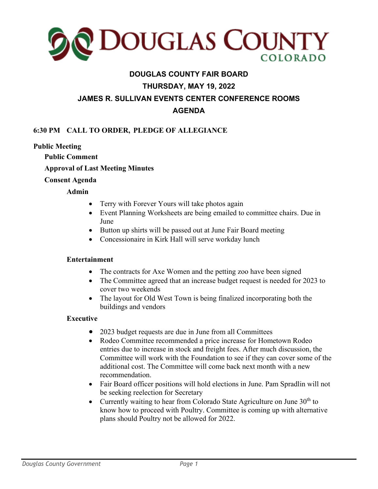

# **DOUGLAS COUNTY FAIR BOARD THURSDAY, MAY 19, 2022 JAMES R. SULLIVAN EVENTS CENTER CONFERENCE ROOMS AGENDA**

# **6:30 PM CALL TO ORDER, PLEDGE OF ALLEGIANCE**

## **Public Meeting**

**Public Comment** 

**Approval of Last Meeting Minutes**

#### **Consent Agenda**

## **Admin**

- Terry with Forever Yours will take photos again
- Event Planning Worksheets are being emailed to committee chairs. Due in June
- Button up shirts will be passed out at June Fair Board meeting
- Concessionaire in Kirk Hall will serve workday lunch

#### **Entertainment**

- The contracts for Axe Women and the petting zoo have been signed
- The Committee agreed that an increase budget request is needed for 2023 to cover two weekends
- The layout for Old West Town is being finalized incorporating both the buildings and vendors

# **Executive**

- 2023 budget requests are due in June from all Committees
- Rodeo Committee recommended a price increase for Hometown Rodeo entries due to increase in stock and freight fees. After much discussion, the Committee will work with the Foundation to see if they can cover some of the additional cost. The Committee will come back next month with a new recommendation.
- Fair Board officer positions will hold elections in June. Pam Spradlin will not be seeking reelection for Secretary
- Currently waiting to hear from Colorado State Agriculture on June  $30<sup>th</sup>$  to know how to proceed with Poultry. Committee is coming up with alternative plans should Poultry not be allowed for 2022.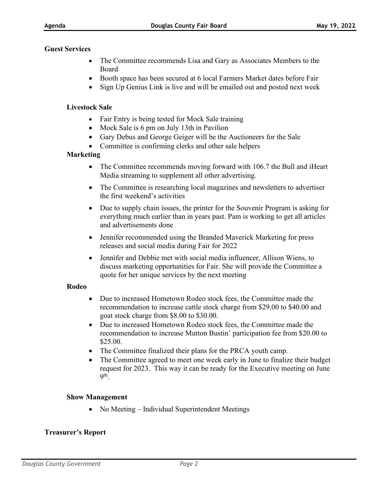#### **Guest Services**

- The Committee recommends Lisa and Gary as Associates Members to the Board
- Booth space has been secured at 6 local Farmers Market dates before Fair
- Sign Up Genius Link is live and will be emailed out and posted next week

## **Livestock Sale**

- Fair Entry is being tested for Mock Sale training
- Mock Sale is 6 pm on July 13th in Pavilion
- Gary Debus and George Geiger will be the Auctioneers for the Sale
- Committee is confirming clerks and other sale helpers

# **Marketing**

- The Committee recommends moving forward with 106.7 the Bull and iHeart Media streaming to supplement all other advertising.
- The Committee is researching local magazines and newsletters to advertiser the first weekend's activities
- Due to supply chain issues, the printer for the Souvenir Program is asking for everything much earlier than in years past. Pam is working to get all articles and advertisements done
- Jennifer recommended using the Branded Maverick Marketing for press releases and social media during Fair for 2022
- Jennifer and Debbie met with social media influencer, Allison Wiens, to discuss marketing opportunities for Fair. She will provide the Committee a quote for her unique services by the next meeting

# **Rodeo**

- Due to increased Hometown Rodeo stock fees, the Committee made the recommendation to increase cattle stock charge from \$29.00 to \$40.00 and goat stock charge from \$8.00 to \$30.00.
- Due to increased Hometown Rodeo stock fees, the Committee made the recommendation to increase Mutton Bustin' participation fee from \$20.00 to \$25.00.
- The Committee finalized their plans for the PRCA youth camp.
- The Committee agreed to meet one week early in June to finalize their budget request for 2023. This way it can be ready for the Executive meeting on June  $9<sup>th</sup>$ .

# **Show Management**

• No Meeting – Individual Superintendent Meetings

# **Treasurer's Report**